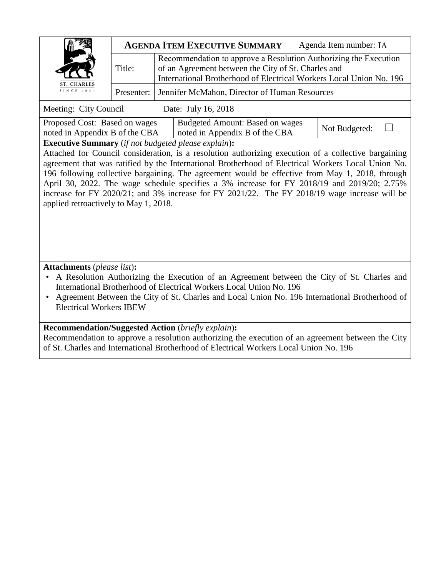|                           |        | <b>AGENDA ITEM EXECUTIVE SUMMARY</b>                                                                                                                                                           | Agenda Item number: IA |
|---------------------------|--------|------------------------------------------------------------------------------------------------------------------------------------------------------------------------------------------------|------------------------|
| ST. CHARLES<br>SINCE 1834 | Title: | Recommendation to approve a Resolution Authorizing the Execution<br>of an Agreement between the City of St. Charles and<br>International Brotherhood of Electrical Workers Local Union No. 196 |                        |
|                           |        | Presenter: Jennifer McMahon, Director of Human Resources                                                                                                                                       |                        |

Meeting: City Council Date: July 16, 2018

| Proposed Cost: Based on wages  | Budgeted Amount: Based on wages  |               |  |
|--------------------------------|----------------------------------|---------------|--|
| noted in Appendix B of the CBA | I noted in Appendix B of the CBA | Not Budgeted: |  |
|                                |                                  |               |  |

**Executive Summary** (*if not budgeted please explain*)**:**

Attached for Council consideration, is a resolution authorizing execution of a collective bargaining agreement that was ratified by the International Brotherhood of Electrical Workers Local Union No. 196 following collective bargaining. The agreement would be effective from May 1, 2018, through April 30, 2022. The wage schedule specifies a 3% increase for FY 2018/19 and 2019/20; 2.75% increase for FY 2020/21; and 3% increase for FY 2021/22. The FY 2018/19 wage increase will be applied retroactively to May 1, 2018.

**Attachments** (*please list*)**:**

• A Resolution Authorizing the Execution of an Agreement between the City of St. Charles and International Brotherhood of Electrical Workers Local Union No. 196

• Agreement Between the City of St. Charles and Local Union No. 196 International Brotherhood of Electrical Workers IBEW

# **Recommendation/Suggested Action** (*briefly explain*)**:**

Recommendation to approve a resolution authorizing the execution of an agreement between the City of St. Charles and International Brotherhood of Electrical Workers Local Union No. 196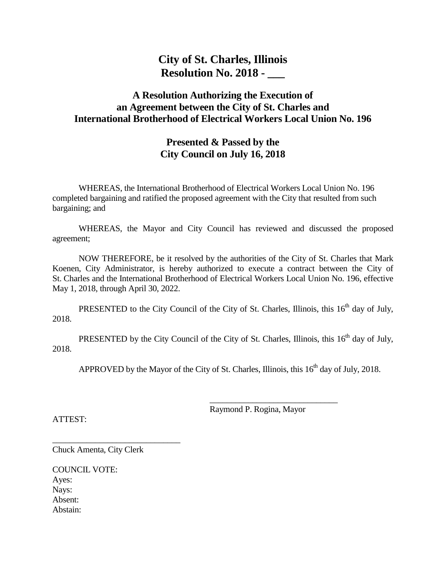# **City of St. Charles, Illinois Resolution No. 2018 - \_\_\_**

# **A Resolution Authorizing the Execution of an Agreement between the City of St. Charles and International Brotherhood of Electrical Workers Local Union No. 196**

# **Presented & Passed by the City Council on July 16, 2018**

WHEREAS, the International Brotherhood of Electrical Workers Local Union No. 196 completed bargaining and ratified the proposed agreement with the City that resulted from such bargaining; and

WHEREAS, the Mayor and City Council has reviewed and discussed the proposed agreement;

NOW THEREFORE, be it resolved by the authorities of the City of St. Charles that Mark Koenen, City Administrator, is hereby authorized to execute a contract between the City of St. Charles and the International Brotherhood of Electrical Workers Local Union No. 196, effective May 1, 2018, through April 30, 2022.

PRESENTED to the City Council of the City of St. Charles, Illinois, this  $16<sup>th</sup>$  day of July, 2018.

PRESENTED by the City Council of the City of St. Charles, Illinois, this 16<sup>th</sup> day of July, 2018.

APPROVED by the Mayor of the City of St. Charles, Illinois, this  $16<sup>th</sup>$  day of July, 2018.

Raymond P. Rogina, Mayor

 $\frac{1}{2}$  ,  $\frac{1}{2}$  ,  $\frac{1}{2}$  ,  $\frac{1}{2}$  ,  $\frac{1}{2}$  ,  $\frac{1}{2}$  ,  $\frac{1}{2}$  ,  $\frac{1}{2}$  ,  $\frac{1}{2}$  ,  $\frac{1}{2}$  ,  $\frac{1}{2}$  ,  $\frac{1}{2}$  ,  $\frac{1}{2}$  ,  $\frac{1}{2}$  ,  $\frac{1}{2}$  ,  $\frac{1}{2}$  ,  $\frac{1}{2}$  ,  $\frac{1}{2}$  ,  $\frac{1$ 

ATTEST:

\_\_\_\_\_\_\_\_\_\_\_\_\_\_\_\_\_\_\_\_\_\_\_\_\_\_\_\_\_\_ Chuck Amenta, City Clerk

COUNCIL VOTE: Ayes: Nays: Absent: Abstain: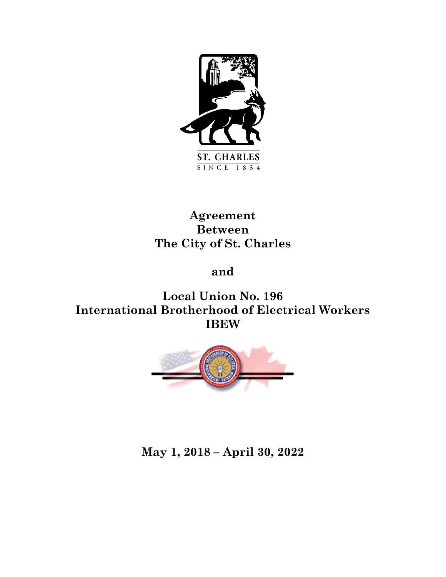

# **Agreement Between The City of St. Charles**

# **and**

**Local Union No. 196 International Brotherhood of Electrical Workers IBEW**



# **May 1, 2018 – April 30, 2022**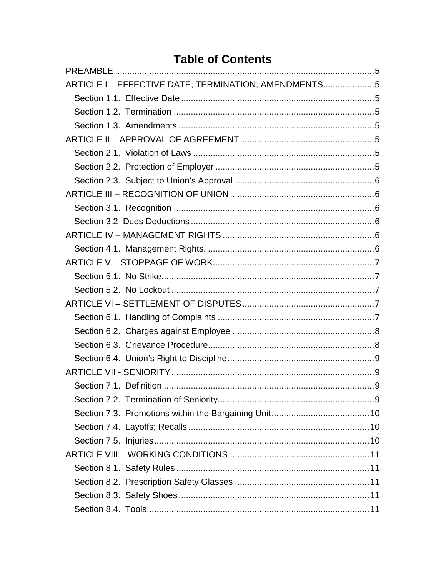# **Table of Contents**

| ARTICLE I-EFFECTIVE DATE; TERMINATION; AMENDMENTS5 |  |
|----------------------------------------------------|--|
|                                                    |  |
|                                                    |  |
|                                                    |  |
|                                                    |  |
|                                                    |  |
|                                                    |  |
|                                                    |  |
|                                                    |  |
|                                                    |  |
|                                                    |  |
|                                                    |  |
|                                                    |  |
|                                                    |  |
|                                                    |  |
|                                                    |  |
|                                                    |  |
|                                                    |  |
|                                                    |  |
|                                                    |  |
|                                                    |  |
|                                                    |  |
|                                                    |  |
|                                                    |  |
|                                                    |  |
|                                                    |  |
|                                                    |  |
|                                                    |  |
|                                                    |  |
|                                                    |  |
|                                                    |  |
|                                                    |  |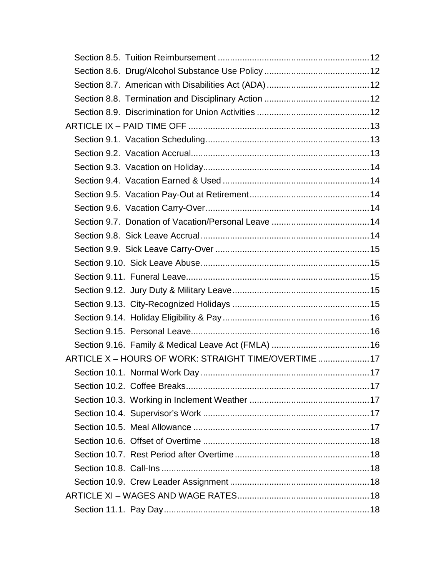| ARTICLE X - HOURS OF WORK: STRAIGHT TIME/OVERTIME 17 |  |
|------------------------------------------------------|--|
|                                                      |  |
|                                                      |  |
|                                                      |  |
|                                                      |  |
|                                                      |  |
|                                                      |  |
|                                                      |  |
|                                                      |  |
|                                                      |  |
|                                                      |  |
|                                                      |  |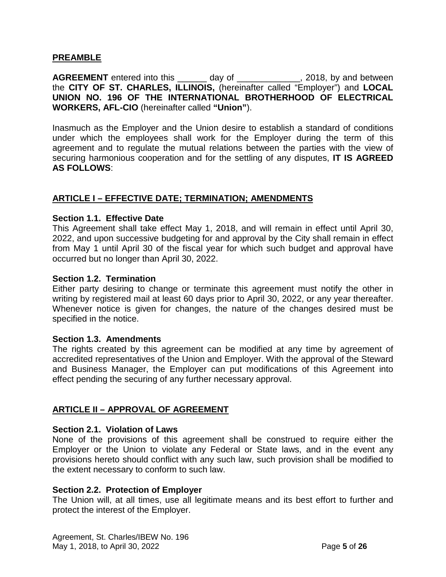# <span id="page-6-0"></span>**PREAMBLE**

**AGREEMENT** entered into this \_\_\_\_\_\_ day of \_\_\_\_\_\_\_\_\_\_\_\_\_\_, 2018, by and between the **CITY OF ST. CHARLES, ILLINOIS,** (hereinafter called "Employer") and **LOCAL UNION NO. 196 OF THE INTERNATIONAL BROTHERHOOD OF ELECTRICAL WORKERS, AFL-CIO** (hereinafter called **"Union"**).

Inasmuch as the Employer and the Union desire to establish a standard of conditions under which the employees shall work for the Employer during the term of this agreement and to regulate the mutual relations between the parties with the view of securing harmonious cooperation and for the settling of any disputes, **IT IS AGREED AS FOLLOWS**:

# <span id="page-6-1"></span>**ARTICLE I – EFFECTIVE DATE; TERMINATION; AMENDMENTS**

#### <span id="page-6-2"></span>**Section 1.1. Effective Date**

This Agreement shall take effect May 1, 2018, and will remain in effect until April 30, 2022, and upon successive budgeting for and approval by the City shall remain in effect from May 1 until April 30 of the fiscal year for which such budget and approval have occurred but no longer than April 30, 2022.

#### <span id="page-6-3"></span>**Section 1.2. Termination**

Either party desiring to change or terminate this agreement must notify the other in writing by registered mail at least 60 days prior to April 30, 2022, or any year thereafter. Whenever notice is given for changes, the nature of the changes desired must be specified in the notice.

#### <span id="page-6-4"></span>**Section 1.3. Amendments**

The rights created by this agreement can be modified at any time by agreement of accredited representatives of the Union and Employer. With the approval of the Steward and Business Manager, the Employer can put modifications of this Agreement into effect pending the securing of any further necessary approval.

# <span id="page-6-5"></span>**ARTICLE II – APPROVAL OF AGREEMENT**

#### <span id="page-6-6"></span>**Section 2.1. Violation of Laws**

None of the provisions of this agreement shall be construed to require either the Employer or the Union to violate any Federal or State laws, and in the event any provisions hereto should conflict with any such law, such provision shall be modified to the extent necessary to conform to such law.

# <span id="page-6-7"></span>**Section 2.2. Protection of Employer**

The Union will, at all times, use all legitimate means and its best effort to further and protect the interest of the Employer.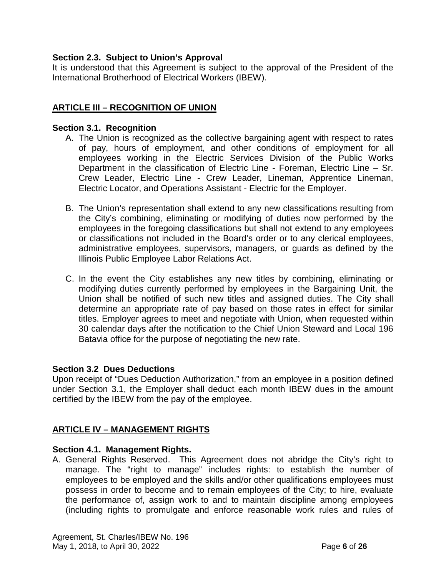# <span id="page-7-0"></span>**Section 2.3. Subject to Union's Approval**

It is understood that this Agreement is subject to the approval of the President of the International Brotherhood of Electrical Workers (IBEW).

# <span id="page-7-1"></span>**ARTICLE III – RECOGNITION OF UNION**

#### <span id="page-7-2"></span>**Section 3.1. Recognition**

- A. The Union is recognized as the collective bargaining agent with respect to rates of pay, hours of employment, and other conditions of employment for all employees working in the Electric Services Division of the Public Works Department in the classification of Electric Line - Foreman, Electric Line – Sr. Crew Leader, Electric Line - Crew Leader, Lineman, Apprentice Lineman, Electric Locator, and Operations Assistant - Electric for the Employer.
- B. The Union's representation shall extend to any new classifications resulting from the City's combining, eliminating or modifying of duties now performed by the employees in the foregoing classifications but shall not extend to any employees or classifications not included in the Board's order or to any clerical employees, administrative employees, supervisors, managers, or guards as defined by the Illinois Public Employee Labor Relations Act.
- C. In the event the City establishes any new titles by combining, eliminating or modifying duties currently performed by employees in the Bargaining Unit, the Union shall be notified of such new titles and assigned duties. The City shall determine an appropriate rate of pay based on those rates in effect for similar titles. Employer agrees to meet and negotiate with Union, when requested within 30 calendar days after the notification to the Chief Union Steward and Local 196 Batavia office for the purpose of negotiating the new rate.

# <span id="page-7-3"></span>**Section 3.2 Dues Deductions**

Upon receipt of "Dues Deduction Authorization," from an employee in a position defined under Section 3.1, the Employer shall deduct each month IBEW dues in the amount certified by the IBEW from the pay of the employee.

# <span id="page-7-4"></span>**ARTICLE IV – MANAGEMENT RIGHTS**

# <span id="page-7-5"></span>**Section 4.1. Management Rights.**

A. General Rights Reserved. This Agreement does not abridge the City's right to manage. The "right to manage" includes rights: to establish the number of employees to be employed and the skills and/or other qualifications employees must possess in order to become and to remain employees of the City; to hire, evaluate the performance of, assign work to and to maintain discipline among employees (including rights to promulgate and enforce reasonable work rules and rules of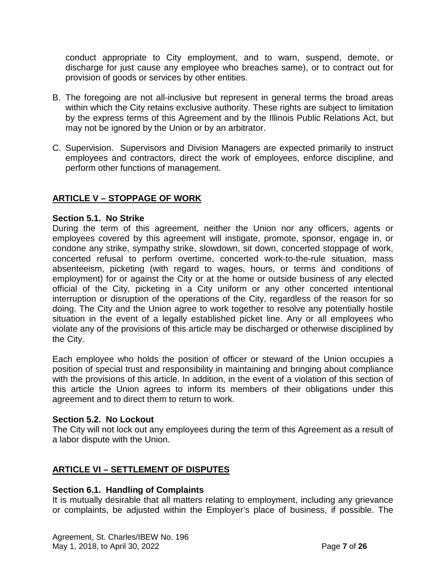conduct appropriate to City employment, and to warn, suspend, demote, or discharge for just cause any employee who breaches same), or to contract out for provision of goods or services by other entities.

- B. The foregoing are not all-inclusive but represent in general terms the broad areas within which the City retains exclusive authority. These rights are subject to limitation by the express terms of this Agreement and by the Illinois Public Relations Act, but may not be ignored by the Union or by an arbitrator.
- C. Supervision. Supervisors and Division Managers are expected primarily to instruct employees and contractors, direct the work of employees, enforce discipline, and perform other functions of management.

# <span id="page-8-0"></span>**ARTICLE V – STOPPAGE OF WORK**

#### <span id="page-8-1"></span>**Section 5.1. No Strike**

During the term of this agreement, neither the Union nor any officers, agents or employees covered by this agreement will instigate, promote, sponsor, engage in, or condone any strike, sympathy strike, slowdown, sit down, concerted stoppage of work, concerted refusal to perform overtime, concerted work-to-the-rule situation, mass absenteeism, picketing (with regard to wages, hours, or terms and conditions of employment) for or against the City or at the home or outside business of any elected official of the City, picketing in a City uniform or any other concerted intentional interruption or disruption of the operations of the City, regardless of the reason for so doing. The City and the Union agree to work together to resolve any potentially hostile situation in the event of a legally established picket line. Any or all employees who violate any of the provisions of this article may be discharged or otherwise disciplined by the City.

Each employee who holds the position of officer or steward of the Union occupies a position of special trust and responsibility in maintaining and bringing about compliance with the provisions of this article. In addition, in the event of a violation of this section of this article the Union agrees to inform its members of their obligations under this agreement and to direct them to return to work.

# <span id="page-8-2"></span>**Section 5.2. No Lockout**

The City will not lock out any employees during the term of this Agreement as a result of a labor dispute with the Union.

# <span id="page-8-3"></span>**ARTICLE VI – SETTLEMENT OF DISPUTES**

# <span id="page-8-4"></span>**Section 6.1. Handling of Complaints**

It is mutually desirable that all matters relating to employment, including any grievance or complaints, be adjusted within the Employer's place of business, if possible. The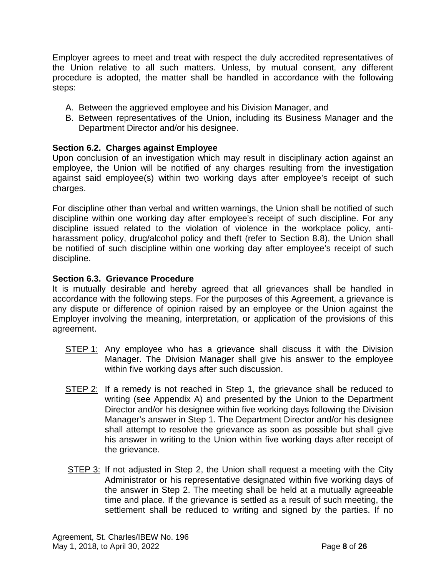Employer agrees to meet and treat with respect the duly accredited representatives of the Union relative to all such matters. Unless, by mutual consent, any different procedure is adopted, the matter shall be handled in accordance with the following steps:

- A. Between the aggrieved employee and his Division Manager, and
- B. Between representatives of the Union, including its Business Manager and the Department Director and/or his designee.

# <span id="page-9-0"></span>**Section 6.2. Charges against Employee**

Upon conclusion of an investigation which may result in disciplinary action against an employee, the Union will be notified of any charges resulting from the investigation against said employee(s) within two working days after employee's receipt of such charges.

For discipline other than verbal and written warnings, the Union shall be notified of such discipline within one working day after employee's receipt of such discipline. For any discipline issued related to the violation of violence in the workplace policy, antiharassment policy, drug/alcohol policy and theft (refer to Section 8.8), the Union shall be notified of such discipline within one working day after employee's receipt of such discipline.

# <span id="page-9-1"></span>**Section 6.3. Grievance Procedure**

It is mutually desirable and hereby agreed that all grievances shall be handled in accordance with the following steps. For the purposes of this Agreement, a grievance is any dispute or difference of opinion raised by an employee or the Union against the Employer involving the meaning, interpretation, or application of the provisions of this agreement.

- STEP 1: Any employee who has a grievance shall discuss it with the Division Manager. The Division Manager shall give his answer to the employee within five working days after such discussion.
- STEP 2: If a remedy is not reached in Step 1, the grievance shall be reduced to writing (see Appendix A) and presented by the Union to the Department Director and/or his designee within five working days following the Division Manager's answer in Step 1. The Department Director and/or his designee shall attempt to resolve the grievance as soon as possible but shall give his answer in writing to the Union within five working days after receipt of the grievance.
- STEP 3: If not adjusted in Step 2, the Union shall request a meeting with the City Administrator or his representative designated within five working days of the answer in Step 2. The meeting shall be held at a mutually agreeable time and place. If the grievance is settled as a result of such meeting, the settlement shall be reduced to writing and signed by the parties. If no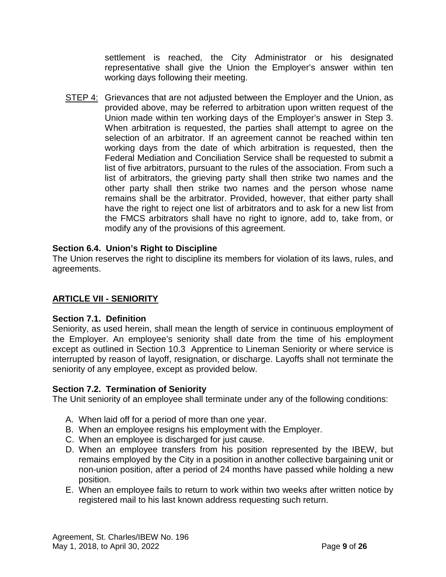settlement is reached, the City Administrator or his designated representative shall give the Union the Employer's answer within ten working days following their meeting.

STEP 4: Grievances that are not adjusted between the Employer and the Union, as provided above, may be referred to arbitration upon written request of the Union made within ten working days of the Employer's answer in Step 3. When arbitration is requested, the parties shall attempt to agree on the selection of an arbitrator. If an agreement cannot be reached within ten working days from the date of which arbitration is requested, then the Federal Mediation and Conciliation Service shall be requested to submit a list of five arbitrators, pursuant to the rules of the association. From such a list of arbitrators, the grieving party shall then strike two names and the other party shall then strike two names and the person whose name remains shall be the arbitrator. Provided, however, that either party shall have the right to reject one list of arbitrators and to ask for a new list from the FMCS arbitrators shall have no right to ignore, add to, take from, or modify any of the provisions of this agreement.

# <span id="page-10-0"></span>**Section 6.4. Union's Right to Discipline**

The Union reserves the right to discipline its members for violation of its laws, rules, and agreements.

# <span id="page-10-1"></span>**ARTICLE VII - SENIORITY**

# <span id="page-10-2"></span>**Section 7.1. Definition**

Seniority, as used herein, shall mean the length of service in continuous employment of the Employer. An employee's seniority shall date from the time of his employment except as outlined in Section 10.3 Apprentice to Lineman Seniority or where service is interrupted by reason of layoff, resignation, or discharge. Layoffs shall not terminate the seniority of any employee, except as provided below.

# <span id="page-10-3"></span>**Section 7.2. Termination of Seniority**

The Unit seniority of an employee shall terminate under any of the following conditions:

- A. When laid off for a period of more than one year.
- B. When an employee resigns his employment with the Employer.
- C. When an employee is discharged for just cause.
- D. When an employee transfers from his position represented by the IBEW, but remains employed by the City in a position in another collective bargaining unit or non-union position, after a period of 24 months have passed while holding a new position.
- E. When an employee fails to return to work within two weeks after written notice by registered mail to his last known address requesting such return.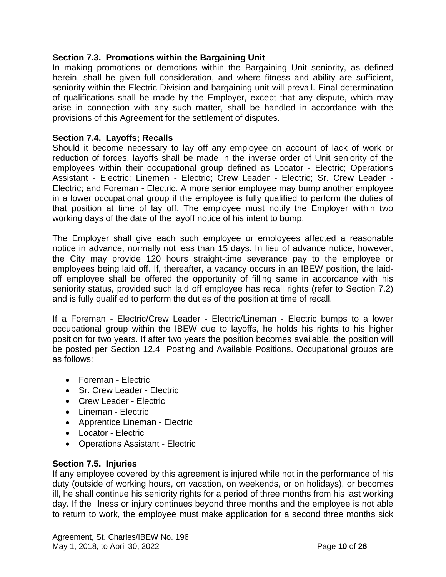# <span id="page-11-0"></span>**Section 7.3. Promotions within the Bargaining Unit**

In making promotions or demotions within the Bargaining Unit seniority, as defined herein, shall be given full consideration, and where fitness and ability are sufficient, seniority within the Electric Division and bargaining unit will prevail. Final determination of qualifications shall be made by the Employer, except that any dispute, which may arise in connection with any such matter, shall be handled in accordance with the provisions of this Agreement for the settlement of disputes.

# <span id="page-11-1"></span>**Section 7.4. Layoffs; Recalls**

Should it become necessary to lay off any employee on account of lack of work or reduction of forces, layoffs shall be made in the inverse order of Unit seniority of the employees within their occupational group defined as Locator - Electric; Operations Assistant - Electric; Linemen - Electric; Crew Leader - Electric; Sr. Crew Leader - Electric; and Foreman - Electric. A more senior employee may bump another employee in a lower occupational group if the employee is fully qualified to perform the duties of that position at time of lay off. The employee must notify the Employer within two working days of the date of the layoff notice of his intent to bump.

The Employer shall give each such employee or employees affected a reasonable notice in advance, normally not less than 15 days. In lieu of advance notice, however, the City may provide 120 hours straight-time severance pay to the employee or employees being laid off. If, thereafter, a vacancy occurs in an IBEW position, the laidoff employee shall be offered the opportunity of filling same in accordance with his seniority status, provided such laid off employee has recall rights (refer to Section 7.2) and is fully qualified to perform the duties of the position at time of recall.

If a Foreman - Electric/Crew Leader - Electric/Lineman - Electric bumps to a lower occupational group within the IBEW due to layoffs, he holds his rights to his higher position for two years. If after two years the position becomes available, the position will be posted per Section 12.4 Posting and Available Positions. Occupational groups are as follows:

- Foreman Electric
- Sr. Crew Leader Electric
- Crew Leader Electric
- Lineman Electric
- Apprentice Lineman Electric
- Locator Electric
- Operations Assistant Electric

# <span id="page-11-2"></span>**Section 7.5. Injuries**

If any employee covered by this agreement is injured while not in the performance of his duty (outside of working hours, on vacation, on weekends, or on holidays), or becomes ill, he shall continue his seniority rights for a period of three months from his last working day. If the illness or injury continues beyond three months and the employee is not able to return to work, the employee must make application for a second three months sick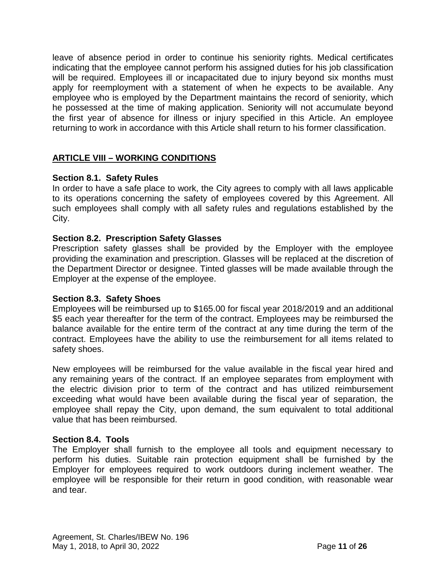leave of absence period in order to continue his seniority rights. Medical certificates indicating that the employee cannot perform his assigned duties for his job classification will be required. Employees ill or incapacitated due to injury beyond six months must apply for reemployment with a statement of when he expects to be available. Any employee who is employed by the Department maintains the record of seniority, which he possessed at the time of making application. Seniority will not accumulate beyond the first year of absence for illness or injury specified in this Article. An employee returning to work in accordance with this Article shall return to his former classification.

# <span id="page-12-0"></span>**ARTICLE VIII – WORKING CONDITIONS**

# <span id="page-12-1"></span>**Section 8.1. Safety Rules**

In order to have a safe place to work, the City agrees to comply with all laws applicable to its operations concerning the safety of employees covered by this Agreement. All such employees shall comply with all safety rules and regulations established by the City.

# <span id="page-12-2"></span>**Section 8.2. Prescription Safety Glasses**

Prescription safety glasses shall be provided by the Employer with the employee providing the examination and prescription. Glasses will be replaced at the discretion of the Department Director or designee. Tinted glasses will be made available through the Employer at the expense of the employee.

# <span id="page-12-3"></span>**Section 8.3. Safety Shoes**

Employees will be reimbursed up to \$165.00 for fiscal year 2018/2019 and an additional \$5 each year thereafter for the term of the contract. Employees may be reimbursed the balance available for the entire term of the contract at any time during the term of the contract. Employees have the ability to use the reimbursement for all items related to safety shoes.

New employees will be reimbursed for the value available in the fiscal year hired and any remaining years of the contract. If an employee separates from employment with the electric division prior to term of the contract and has utilized reimbursement exceeding what would have been available during the fiscal year of separation, the employee shall repay the City, upon demand, the sum equivalent to total additional value that has been reimbursed.

# <span id="page-12-4"></span>**Section 8.4. Tools**

The Employer shall furnish to the employee all tools and equipment necessary to perform his duties. Suitable rain protection equipment shall be furnished by the Employer for employees required to work outdoors during inclement weather. The employee will be responsible for their return in good condition, with reasonable wear and tear.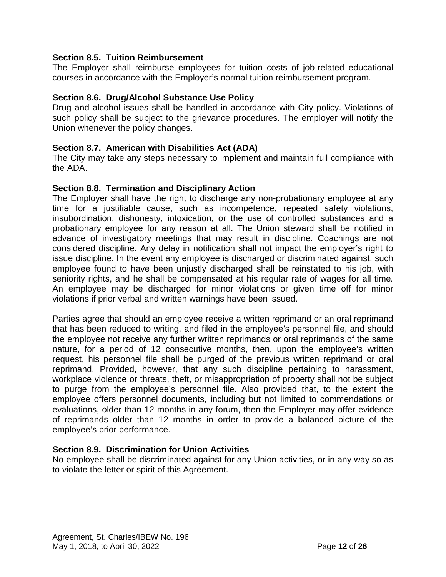# <span id="page-13-0"></span>**Section 8.5. Tuition Reimbursement**

The Employer shall reimburse employees for tuition costs of job-related educational courses in accordance with the Employer's normal tuition reimbursement program.

# <span id="page-13-1"></span>**Section 8.6. Drug/Alcohol Substance Use Policy**

Drug and alcohol issues shall be handled in accordance with City policy. Violations of such policy shall be subject to the grievance procedures. The employer will notify the Union whenever the policy changes.

# <span id="page-13-2"></span>**Section 8.7. American with Disabilities Act (ADA)**

The City may take any steps necessary to implement and maintain full compliance with the ADA.

# <span id="page-13-3"></span>**Section 8.8. Termination and Disciplinary Action**

The Employer shall have the right to discharge any non-probationary employee at any time for a justifiable cause, such as incompetence, repeated safety violations, insubordination, dishonesty, intoxication, or the use of controlled substances and a probationary employee for any reason at all. The Union steward shall be notified in advance of investigatory meetings that may result in discipline. Coachings are not considered discipline. Any delay in notification shall not impact the employer's right to issue discipline. In the event any employee is discharged or discriminated against, such employee found to have been unjustly discharged shall be reinstated to his job, with seniority rights, and he shall be compensated at his regular rate of wages for all time*.* An employee may be discharged for minor violations or given time off for minor violations if prior verbal and written warnings have been issued.

Parties agree that should an employee receive a written reprimand or an oral reprimand that has been reduced to writing, and filed in the employee's personnel file, and should the employee not receive any further written reprimands or oral reprimands of the same nature, for a period of 12 consecutive months, then, upon the employee's written request, his personnel file shall be purged of the previous written reprimand or oral reprimand. Provided, however, that any such discipline pertaining to harassment, workplace violence or threats, theft, or misappropriation of property shall not be subject to purge from the employee's personnel file. Also provided that, to the extent the employee offers personnel documents, including but not limited to commendations or evaluations, older than 12 months in any forum, then the Employer may offer evidence of reprimands older than 12 months in order to provide a balanced picture of the employee's prior performance.

# <span id="page-13-4"></span>**Section 8.9. Discrimination for Union Activities**

No employee shall be discriminated against for any Union activities, or in any way so as to violate the letter or spirit of this Agreement.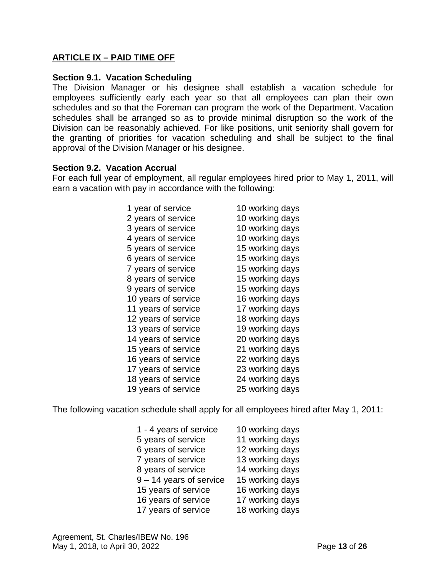# <span id="page-14-0"></span>**ARTICLE IX – PAID TIME OFF**

### <span id="page-14-1"></span>**Section 9.1. Vacation Scheduling**

The Division Manager or his designee shall establish a vacation schedule for employees sufficiently early each year so that all employees can plan their own schedules and so that the Foreman can program the work of the Department. Vacation schedules shall be arranged so as to provide minimal disruption so the work of the Division can be reasonably achieved. For like positions, unit seniority shall govern for the granting of priorities for vacation scheduling and shall be subject to the final approval of the Division Manager or his designee.

#### <span id="page-14-2"></span>**Section 9.2. Vacation Accrual**

For each full year of employment, all regular employees hired prior to May 1, 2011, will earn a vacation with pay in accordance with the following:

| 1 year of service   | 10 working days |
|---------------------|-----------------|
| 2 years of service  | 10 working days |
| 3 years of service  | 10 working days |
| 4 years of service  | 10 working days |
| 5 years of service  | 15 working days |
| 6 years of service  | 15 working days |
| 7 years of service  | 15 working days |
| 8 years of service  | 15 working days |
| 9 years of service  | 15 working days |
| 10 years of service | 16 working days |
| 11 years of service | 17 working days |
| 12 years of service | 18 working days |
| 13 years of service | 19 working days |
| 14 years of service | 20 working days |
| 15 years of service | 21 working days |
| 16 years of service | 22 working days |
| 17 years of service | 23 working days |
| 18 years of service | 24 working days |
| 19 years of service | 25 working days |

The following vacation schedule shall apply for all employees hired after May 1, 2011:

| 1 - 4 years of service    | 10 working days |
|---------------------------|-----------------|
| 5 years of service        | 11 working days |
| 6 years of service        | 12 working days |
| 7 years of service        | 13 working days |
| 8 years of service        | 14 working days |
| $9 - 14$ years of service | 15 working days |
| 15 years of service       | 16 working days |
| 16 years of service       | 17 working days |
| 17 years of service       | 18 working days |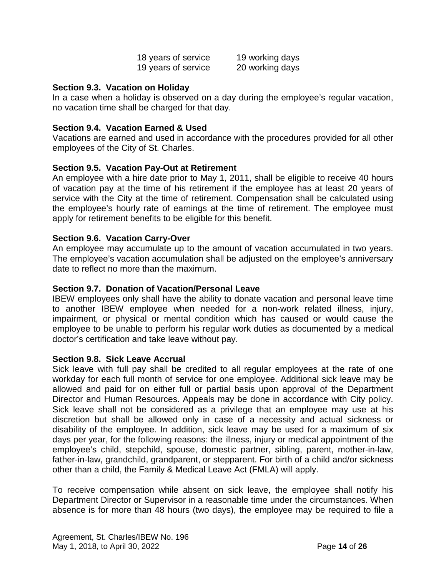| 18 years of service | 19 working days |
|---------------------|-----------------|
| 19 years of service | 20 working days |

### <span id="page-15-0"></span>**Section 9.3. Vacation on Holiday**

In a case when a holiday is observed on a day during the employee's regular vacation, no vacation time shall be charged for that day.

# <span id="page-15-1"></span>**Section 9.4. Vacation Earned & Used**

Vacations are earned and used in accordance with the procedures provided for all other employees of the City of St. Charles.

#### <span id="page-15-2"></span>**Section 9.5. Vacation Pay-Out at Retirement**

An employee with a hire date prior to May 1, 2011, shall be eligible to receive 40 hours of vacation pay at the time of his retirement if the employee has at least 20 years of service with the City at the time of retirement. Compensation shall be calculated using the employee's hourly rate of earnings at the time of retirement. The employee must apply for retirement benefits to be eligible for this benefit.

#### <span id="page-15-3"></span>**Section 9.6. Vacation Carry-Over**

An employee may accumulate up to the amount of vacation accumulated in two years. The employee's vacation accumulation shall be adjusted on the employee's anniversary date to reflect no more than the maximum.

#### <span id="page-15-4"></span>**Section 9.7. Donation of Vacation/Personal Leave**

IBEW employees only shall have the ability to donate vacation and personal leave time to another IBEW employee when needed for a non-work related illness, injury, impairment, or physical or mental condition which has caused or would cause the employee to be unable to perform his regular work duties as documented by a medical doctor's certification and take leave without pay.

#### <span id="page-15-5"></span>**Section 9.8. Sick Leave Accrual**

Sick leave with full pay shall be credited to all regular employees at the rate of one workday for each full month of service for one employee. Additional sick leave may be allowed and paid for on either full or partial basis upon approval of the Department Director and Human Resources. Appeals may be done in accordance with City policy. Sick leave shall not be considered as a privilege that an employee may use at his discretion but shall be allowed only in case of a necessity and actual sickness or disability of the employee. In addition, sick leave may be used for a maximum of six days per year, for the following reasons: the illness, injury or medical appointment of the employee's child, stepchild, spouse, domestic partner, sibling, parent, mother-in-law, father-in-law, grandchild, grandparent, or stepparent. For birth of a child and/or sickness other than a child, the Family & Medical Leave Act (FMLA) will apply.

To receive compensation while absent on sick leave, the employee shall notify his Department Director or Supervisor in a reasonable time under the circumstances. When absence is for more than 48 hours (two days), the employee may be required to file a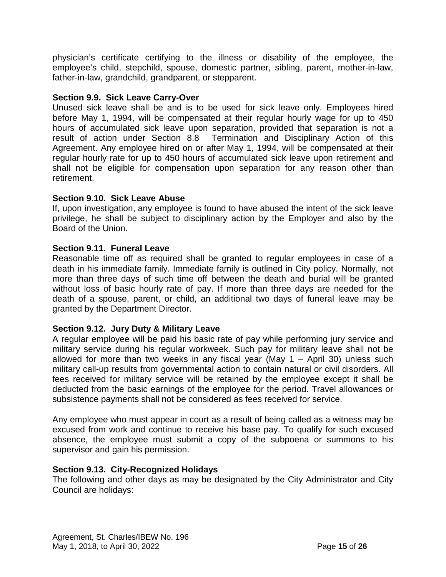physician's certificate certifying to the illness or disability of the employee, the employee's child, stepchild, spouse, domestic partner, sibling, parent, mother-in-law, father-in-law, grandchild, grandparent, or stepparent.

# <span id="page-16-0"></span>**Section 9.9. Sick Leave Carry-Over**

Unused sick leave shall be and is to be used for sick leave only. Employees hired before May 1, 1994, will be compensated at their regular hourly wage for up to 450 hours of accumulated sick leave upon separation, provided that separation is not a result of action under Section 8.8 Termination and Disciplinary Action of this Agreement. Any employee hired on or after May 1, 1994, will be compensated at their regular hourly rate for up to 450 hours of accumulated sick leave upon retirement and shall not be eligible for compensation upon separation for any reason other than retirement.

# <span id="page-16-1"></span>**Section 9.10. Sick Leave Abuse**

If, upon investigation, any employee is found to have abused the intent of the sick leave privilege, he shall be subject to disciplinary action by the Employer and also by the Board of the Union.

# <span id="page-16-2"></span>**Section 9.11. Funeral Leave**

Reasonable time off as required shall be granted to regular employees in case of a death in his immediate family. Immediate family is outlined in City policy. Normally, not more than three days of such time off between the death and burial will be granted without loss of basic hourly rate of pay. If more than three days are needed for the death of a spouse, parent, or child, an additional two days of funeral leave may be granted by the Department Director.

# <span id="page-16-3"></span>**Section 9.12. Jury Duty & Military Leave**

A regular employee will be paid his basic rate of pay while performing jury service and military service during his regular workweek. Such pay for military leave shall not be allowed for more than two weeks in any fiscal year (May  $1 -$  April 30) unless such military call-up results from governmental action to contain natural or civil disorders. All fees received for military service will be retained by the employee except it shall be deducted from the basic earnings of the employee for the period. Travel allowances or subsistence payments shall not be considered as fees received for service.

Any employee who must appear in court as a result of being called as a witness may be excused from work and continue to receive his base pay. To qualify for such excused absence, the employee must submit a copy of the subpoena or summons to his supervisor and gain his permission.

# <span id="page-16-4"></span>**Section 9.13. City-Recognized Holidays**

The following and other days as may be designated by the City Administrator and City Council are holidays: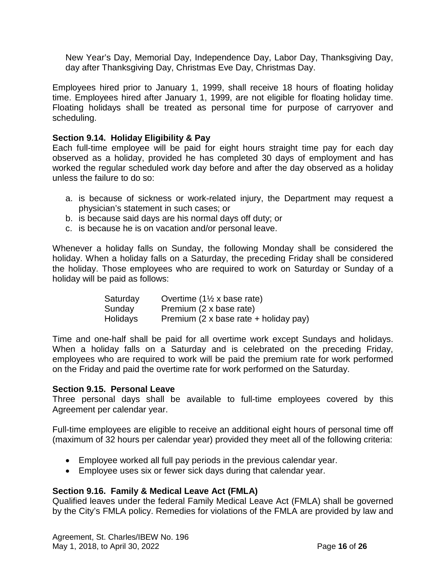New Year's Day, Memorial Day, Independence Day, Labor Day, Thanksgiving Day, day after Thanksgiving Day, Christmas Eve Day, Christmas Day.

Employees hired prior to January 1, 1999, shall receive 18 hours of floating holiday time. Employees hired after January 1, 1999, are not eligible for floating holiday time. Floating holidays shall be treated as personal time for purpose of carryover and scheduling.

# <span id="page-17-0"></span>**Section 9.14. Holiday Eligibility & Pay**

Each full-time employee will be paid for eight hours straight time pay for each day observed as a holiday, provided he has completed 30 days of employment and has worked the regular scheduled work day before and after the day observed as a holiday unless the failure to do so:

- a. is because of sickness or work-related injury, the Department may request a physician's statement in such cases; or
- b. is because said days are his normal days off duty; or
- c. is because he is on vacation and/or personal leave.

Whenever a holiday falls on Sunday, the following Monday shall be considered the holiday. When a holiday falls on a Saturday, the preceding Friday shall be considered the holiday. Those employees who are required to work on Saturday or Sunday of a holiday will be paid as follows:

| Saturday | Overtime $(1\frac{1}{2} x \text{ base rate})$ |
|----------|-----------------------------------------------|
| Sunday   | Premium (2 x base rate)                       |
| Holidays | Premium (2 x base rate + holiday pay)         |

Time and one-half shall be paid for all overtime work except Sundays and holidays. When a holiday falls on a Saturday and is celebrated on the preceding Friday, employees who are required to work will be paid the premium rate for work performed on the Friday and paid the overtime rate for work performed on the Saturday.

# <span id="page-17-1"></span>**Section 9.15. Personal Leave**

Three personal days shall be available to full-time employees covered by this Agreement per calendar year.

Full-time employees are eligible to receive an additional eight hours of personal time off (maximum of 32 hours per calendar year) provided they meet all of the following criteria:

- Employee worked all full pay periods in the previous calendar year.
- Employee uses six or fewer sick days during that calendar year.

# <span id="page-17-2"></span>**Section 9.16. Family & Medical Leave Act (FMLA)**

Qualified leaves under the federal Family Medical Leave Act (FMLA) shall be governed by the City's FMLA policy. Remedies for violations of the FMLA are provided by law and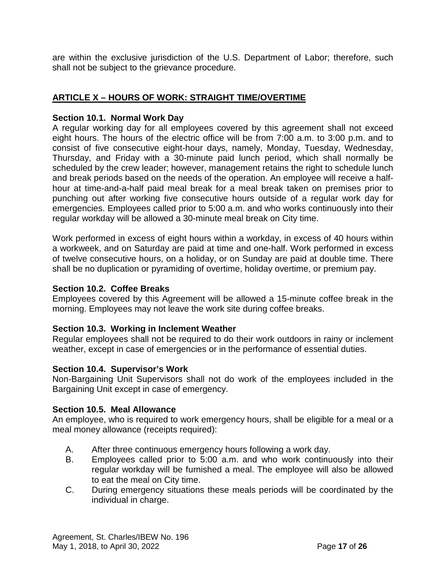are within the exclusive jurisdiction of the U.S. Department of Labor; therefore, such shall not be subject to the grievance procedure.

# <span id="page-18-0"></span>**ARTICLE X – HOURS OF WORK: STRAIGHT TIME/OVERTIME**

# <span id="page-18-1"></span>**Section 10.1. Normal Work Day**

A regular working day for all employees covered by this agreement shall not exceed eight hours. The hours of the electric office will be from 7:00 a.m. to 3:00 p.m. and to consist of five consecutive eight-hour days, namely, Monday, Tuesday, Wednesday, Thursday, and Friday with a 30-minute paid lunch period, which shall normally be scheduled by the crew leader; however, management retains the right to schedule lunch and break periods based on the needs of the operation. An employee will receive a halfhour at time-and-a-half paid meal break for a meal break taken on premises prior to punching out after working five consecutive hours outside of a regular work day for emergencies. Employees called prior to 5:00 a.m. and who works continuously into their regular workday will be allowed a 30-minute meal break on City time.

Work performed in excess of eight hours within a workday, in excess of 40 hours within a workweek, and on Saturday are paid at time and one-half. Work performed in excess of twelve consecutive hours, on a holiday, or on Sunday are paid at double time. There shall be no duplication or pyramiding of overtime, holiday overtime, or premium pay.

# <span id="page-18-2"></span>**Section 10.2. Coffee Breaks**

Employees covered by this Agreement will be allowed a 15-minute coffee break in the morning. Employees may not leave the work site during coffee breaks.

# <span id="page-18-3"></span>**Section 10.3. Working in Inclement Weather**

Regular employees shall not be required to do their work outdoors in rainy or inclement weather, except in case of emergencies or in the performance of essential duties.

# <span id="page-18-4"></span>**Section 10.4. Supervisor's Work**

Non-Bargaining Unit Supervisors shall not do work of the employees included in the Bargaining Unit except in case of emergency.

# <span id="page-18-5"></span>**Section 10.5. Meal Allowance**

An employee, who is required to work emergency hours, shall be eligible for a meal or a meal money allowance (receipts required):

- A. After three continuous emergency hours following a work day.
- B. Employees called prior to 5:00 a.m. and who work continuously into their regular workday will be furnished a meal. The employee will also be allowed to eat the meal on City time.
- C. During emergency situations these meals periods will be coordinated by the individual in charge.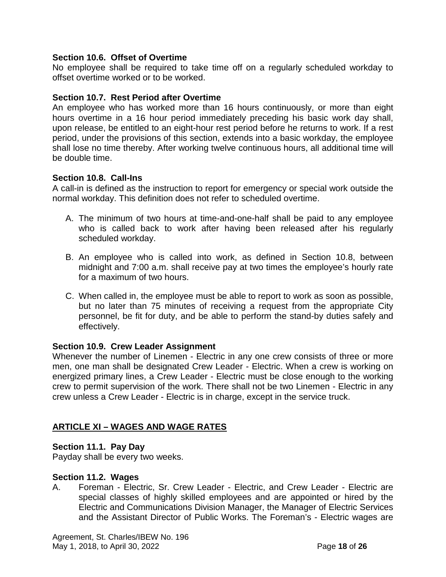# <span id="page-19-0"></span>**Section 10.6. Offset of Overtime**

No employee shall be required to take time off on a regularly scheduled workday to offset overtime worked or to be worked.

# <span id="page-19-1"></span>**Section 10.7. Rest Period after Overtime**

An employee who has worked more than 16 hours continuously, or more than eight hours overtime in a 16 hour period immediately preceding his basic work day shall, upon release, be entitled to an eight-hour rest period before he returns to work. If a rest period, under the provisions of this section, extends into a basic workday, the employee shall lose no time thereby. After working twelve continuous hours, all additional time will be double time.

# <span id="page-19-2"></span>**Section 10.8. Call-Ins**

A call-in is defined as the instruction to report for emergency or special work outside the normal workday. This definition does not refer to scheduled overtime.

- A. The minimum of two hours at time-and-one-half shall be paid to any employee who is called back to work after having been released after his regularly scheduled workday.
- B. An employee who is called into work, as defined in Section 10.8, between midnight and 7:00 a.m. shall receive pay at two times the employee's hourly rate for a maximum of two hours.
- C. When called in, the employee must be able to report to work as soon as possible, but no later than 75 minutes of receiving a request from the appropriate City personnel, be fit for duty, and be able to perform the stand-by duties safely and effectively.

# <span id="page-19-3"></span>**Section 10.9. Crew Leader Assignment**

Whenever the number of Linemen - Electric in any one crew consists of three or more men, one man shall be designated Crew Leader - Electric. When a crew is working on energized primary lines, a Crew Leader - Electric must be close enough to the working crew to permit supervision of the work. There shall not be two Linemen - Electric in any crew unless a Crew Leader - Electric is in charge, except in the service truck.

# <span id="page-19-4"></span>**ARTICLE XI – WAGES AND WAGE RATES**

# <span id="page-19-5"></span>**Section 11.1. Pay Day**

Payday shall be every two weeks.

# <span id="page-19-6"></span>**Section 11.2. Wages**

A. Foreman - Electric, Sr. Crew Leader - Electric, and Crew Leader - Electric are special classes of highly skilled employees and are appointed or hired by the Electric and Communications Division Manager, the Manager of Electric Services and the Assistant Director of Public Works. The Foreman's - Electric wages are

Agreement, St. Charles/IBEW No. 196 May 1, 2018, to April 30, 2022 Page **18** of **26**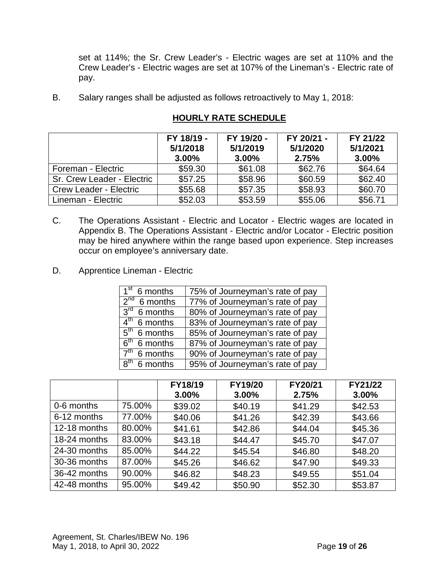set at 114%; the Sr. Crew Leader's - Electric wages are set at 110% and the Crew Leader's - Electric wages are set at 107% of the Lineman's - Electric rate of pay.

B. Salary ranges shall be adjusted as follows retroactively to May 1, 2018:

|                               | FY 18/19 -<br>5/1/2018<br>$3.00\%$ | FY 19/20 -<br>5/1/2019<br>$3.00\%$ | FY 20/21 -<br>5/1/2020<br>2.75% | FY 21/22<br>5/1/2021<br>3.00% |
|-------------------------------|------------------------------------|------------------------------------|---------------------------------|-------------------------------|
| Foreman - Electric            | \$59.30                            | \$61.08                            | \$62.76                         | \$64.64                       |
| Sr. Crew Leader - Electric    | \$57.25                            | \$58.96                            | \$60.59                         | \$62.40                       |
| <b>Crew Leader - Electric</b> | \$55.68                            | \$57.35                            | \$58.93                         | \$60.70                       |
| Lineman - Electric            | \$52.03                            | \$53.59                            | \$55.06                         | \$56.71                       |

# **HOURLY RATE SCHEDULE**

- C. The Operations Assistant Electric and Locator Electric wages are located in Appendix B. The Operations Assistant - Electric and/or Locator - Electric position may be hired anywhere within the range based upon experience. Step increases occur on employee's anniversary date.
- D. Apprentice Lineman Electric

| $\overline{1^{st}}$ 6 months        | 75% of Journeyman's rate of pay |
|-------------------------------------|---------------------------------|
| $2^{nd}$ 6 months                   | 77% of Journeyman's rate of pay |
| $3rd$ 6 months                      | 80% of Journeyman's rate of pay |
| $4^{\text{th}}$<br>6 months         | 83% of Journeyman's rate of pay |
| $\overline{5}^{\text{th}}$ 6 months | 85% of Journeyman's rate of pay |
| $\overline{6}^{\text{th}}$ 6 months | 87% of Journeyman's rate of pay |
| 7 <sup>th</sup><br>6 months         | 90% of Journeyman's rate of pay |
| $8th$ 6 months                      | 95% of Journeyman's rate of pay |

|              |        | FY18/19<br>3.00% | FY19/20<br>3.00% | FY20/21<br>2.75% | FY21/22<br>3.00% |
|--------------|--------|------------------|------------------|------------------|------------------|
| 0-6 months   | 75.00% | \$39.02          | \$40.19          | \$41.29          | \$42.53          |
| 6-12 months  | 77.00% | \$40.06          | \$41.26          | \$42.39          | \$43.66          |
| 12-18 months | 80.00% | \$41.61          | \$42.86          | \$44.04          | \$45.36          |
| 18-24 months | 83.00% | \$43.18          | \$44.47          | \$45.70          | \$47.07          |
| 24-30 months | 85.00% | \$44.22          | \$45.54          | \$46.80          | \$48.20          |
| 30-36 months | 87.00% | \$45.26          | \$46.62          | \$47.90          | \$49.33          |
| 36-42 months | 90.00% | \$46.82          | \$48.23          | \$49.55          | \$51.04          |
| 42-48 months | 95.00% | \$49.42          | \$50.90          | \$52.30          | \$53.87          |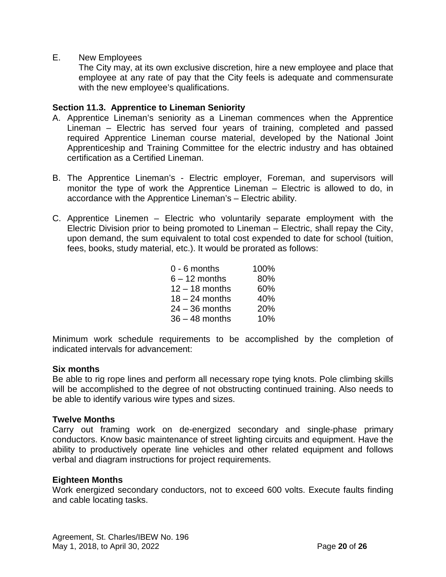E. New Employees

The City may, at its own exclusive discretion, hire a new employee and place that employee at any rate of pay that the City feels is adequate and commensurate with the new employee's qualifications.

### <span id="page-21-0"></span>**Section 11.3. Apprentice to Lineman Seniority**

- A. Apprentice Lineman's seniority as a Lineman commences when the Apprentice Lineman – Electric has served four years of training, completed and passed required Apprentice Lineman course material, developed by the National Joint Apprenticeship and Training Committee for the electric industry and has obtained certification as a Certified Lineman.
- B. The Apprentice Lineman's Electric employer, Foreman, and supervisors will monitor the type of work the Apprentice Lineman – Electric is allowed to do, in accordance with the Apprentice Lineman's – Electric ability.
- C. Apprentice Linemen Electric who voluntarily separate employment with the Electric Division prior to being promoted to Lineman – Electric, shall repay the City, upon demand, the sum equivalent to total cost expended to date for school (tuition, fees, books, study material, etc.). It would be prorated as follows:

| $0 - 6$ months   | 100% |
|------------------|------|
| $6 - 12$ months  | 80%  |
| $12 - 18$ months | 60%  |
| $18 - 24$ months | 40%  |
| $24 - 36$ months | 20%  |
| $36 - 48$ months | 10%  |

Minimum work schedule requirements to be accomplished by the completion of indicated intervals for advancement:

#### **Six months**

Be able to rig rope lines and perform all necessary rope tying knots. Pole climbing skills will be accomplished to the degree of not obstructing continued training. Also needs to be able to identify various wire types and sizes.

#### **Twelve Months**

Carry out framing work on de-energized secondary and single-phase primary conductors. Know basic maintenance of street lighting circuits and equipment. Have the ability to productively operate line vehicles and other related equipment and follows verbal and diagram instructions for project requirements.

#### **Eighteen Months**

Work energized secondary conductors, not to exceed 600 volts. Execute faults finding and cable locating tasks.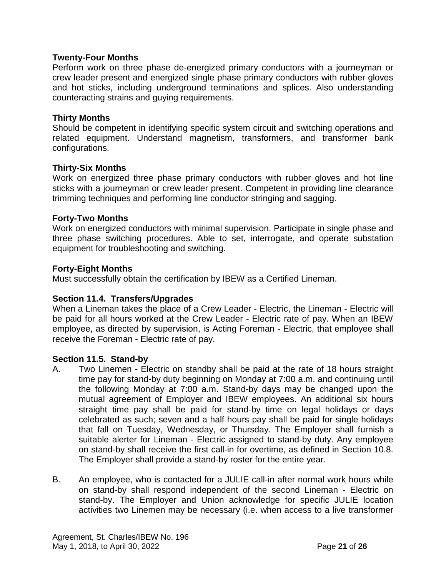### **Twenty-Four Months**

Perform work on three phase de-energized primary conductors with a journeyman or crew leader present and energized single phase primary conductors with rubber gloves and hot sticks, including underground terminations and splices. Also understanding counteracting strains and guying requirements.

#### **Thirty Months**

Should be competent in identifying specific system circuit and switching operations and related equipment. Understand magnetism, transformers, and transformer bank configurations.

#### **Thirty-Six Months**

Work on energized three phase primary conductors with rubber gloves and hot line sticks with a journeyman or crew leader present. Competent in providing line clearance trimming techniques and performing line conductor stringing and sagging.

#### **Forty-Two Months**

Work on energized conductors with minimal supervision. Participate in single phase and three phase switching procedures. Able to set, interrogate, and operate substation equipment for troubleshooting and switching.

#### **Forty-Eight Months**

Must successfully obtain the certification by IBEW as a Certified Lineman.

# <span id="page-22-0"></span>**Section 11.4. Transfers/Upgrades**

When a Lineman takes the place of a Crew Leader - Electric, the Lineman - Electric will be paid for all hours worked at the Crew Leader - Electric rate of pay. When an IBEW employee, as directed by supervision, is Acting Foreman - Electric, that employee shall receive the Foreman - Electric rate of pay.

#### <span id="page-22-1"></span>**Section 11.5. Stand-by**

- A. Two Linemen Electric on standby shall be paid at the rate of 18 hours straight time pay for stand-by duty beginning on Monday at 7:00 a.m. and continuing until the following Monday at 7:00 a.m. Stand-by days may be changed upon the mutual agreement of Employer and IBEW employees. An additional six hours straight time pay shall be paid for stand-by time on legal holidays or days celebrated as such; seven and a half hours pay shall be paid for single holidays that fall on Tuesday, Wednesday, or Thursday. The Employer shall furnish a suitable alerter for Lineman - Electric assigned to stand-by duty. Any employee on stand-by shall receive the first call-in for overtime, as defined in Section 10.8. The Employer shall provide a stand-by roster for the entire year.
- B. An employee, who is contacted for a JULIE call-in after normal work hours while on stand-by shall respond independent of the second Lineman - Electric on stand-by. The Employer and Union acknowledge for specific JULIE location activities two Linemen may be necessary (i.e. when access to a live transformer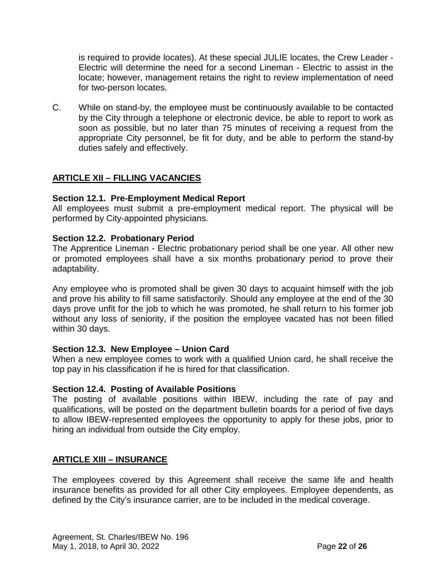is required to provide locates). At these special JULIE locates, the Crew Leader - Electric will determine the need for a second Lineman - Electric to assist in the locate; however, management retains the right to review implementation of need for two-person locates.

C. While on stand-by, the employee must be continuously available to be contacted by the City through a telephone or electronic device, be able to report to work as soon as possible, but no later than 75 minutes of receiving a request from the appropriate City personnel, be fit for duty, and be able to perform the stand-by duties safely and effectively.

# <span id="page-23-0"></span>**ARTICLE XII – FILLING VACANCIES**

# <span id="page-23-1"></span>**Section 12.1. Pre-Employment Medical Report**

All employees must submit a pre-employment medical report. The physical will be performed by City-appointed physicians.

#### <span id="page-23-2"></span>**Section 12.2. Probationary Period**

The Apprentice Lineman - Electric probationary period shall be one year. All other new or promoted employees shall have a six months probationary period to prove their adaptability.

Any employee who is promoted shall be given 30 days to acquaint himself with the job and prove his ability to fill same satisfactorily. Should any employee at the end of the 30 days prove unfit for the job to which he was promoted, he shall return to his former job without any loss of seniority, if the position the employee vacated has not been filled within 30 days.

#### <span id="page-23-3"></span>**Section 12.3. New Employee – Union Card**

When a new employee comes to work with a qualified Union card, he shall receive the top pay in his classification if he is hired for that classification.

#### <span id="page-23-4"></span>**Section 12.4. Posting of Available Positions**

The posting of available positions within IBEW, including the rate of pay and qualifications, will be posted on the department bulletin boards for a period of five days to allow IBEW-represented employees the opportunity to apply for these jobs, prior to hiring an individual from outside the City employ.

# <span id="page-23-5"></span>**ARTICLE XIII – INSURANCE**

The employees covered by this Agreement shall receive the same life and health insurance benefits as provided for all other City employees. Employee dependents, as defined by the City's insurance carrier, are to be included in the medical coverage.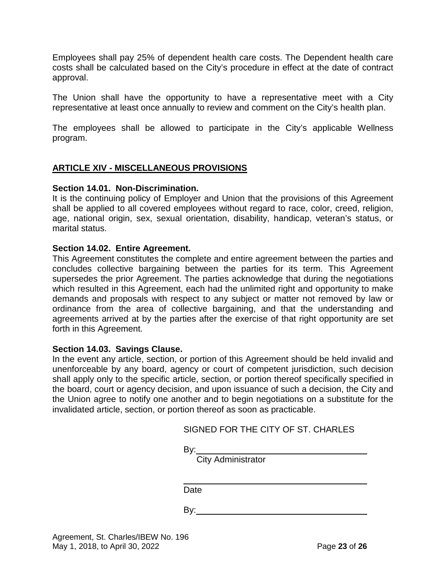Employees shall pay 25% of dependent health care costs. The Dependent health care costs shall be calculated based on the City's procedure in effect at the date of contract approval.

The Union shall have the opportunity to have a representative meet with a City representative at least once annually to review and comment on the City's health plan.

The employees shall be allowed to participate in the City's applicable Wellness program.

# <span id="page-24-0"></span>**ARTICLE XIV - MISCELLANEOUS PROVISIONS**

#### <span id="page-24-1"></span>**Section 14.01. Non-Discrimination.**

It is the continuing policy of Employer and Union that the provisions of this Agreement shall be applied to all covered employees without regard to race, color, creed, religion, age, national origin, sex, sexual orientation, disability, handicap, veteran's status, or marital status.

#### <span id="page-24-2"></span>**Section 14.02. Entire Agreement.**

This Agreement constitutes the complete and entire agreement between the parties and concludes collective bargaining between the parties for its term. This Agreement supersedes the prior Agreement. The parties acknowledge that during the negotiations which resulted in this Agreement, each had the unlimited right and opportunity to make demands and proposals with respect to any subject or matter not removed by law or ordinance from the area of collective bargaining, and that the understanding and agreements arrived at by the parties after the exercise of that right opportunity are set forth in this Agreement.

#### <span id="page-24-3"></span>**Section 14.03. Savings Clause.**

In the event any article, section, or portion of this Agreement should be held invalid and unenforceable by any board, agency or court of competent jurisdiction, such decision shall apply only to the specific article, section, or portion thereof specifically specified in the board, court or agency decision, and upon issuance of such a decision, the City and the Union agree to notify one another and to begin negotiations on a substitute for the invalidated article, section, or portion thereof as soon as practicable.

| <u>By:__</u><br>City Administrator<br>Date | SIGNED FOR THE CITY OF ST. CHARLES |  |
|--------------------------------------------|------------------------------------|--|
|                                            |                                    |  |
|                                            |                                    |  |
|                                            |                                    |  |

 $S(0,1)$  for  $T(1)$  or  $S(T,0)$  or  $S(T,0)$  for  $S(T,0)$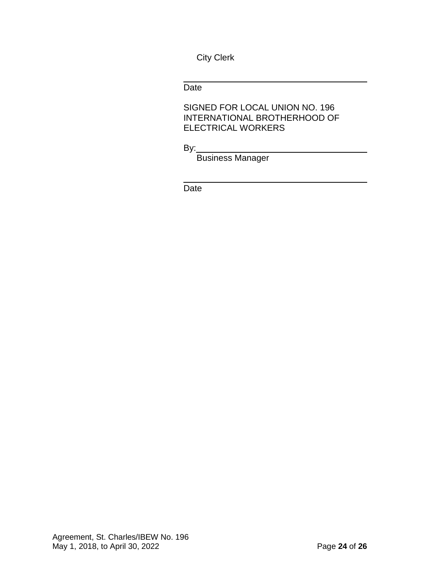City Clerk

Date

SIGNED FOR LOCAL UNION NO. 196 INTERNATIONAL BROTHERHOOD OF ELECTRICAL WORKERS

By:

Business Manager

Date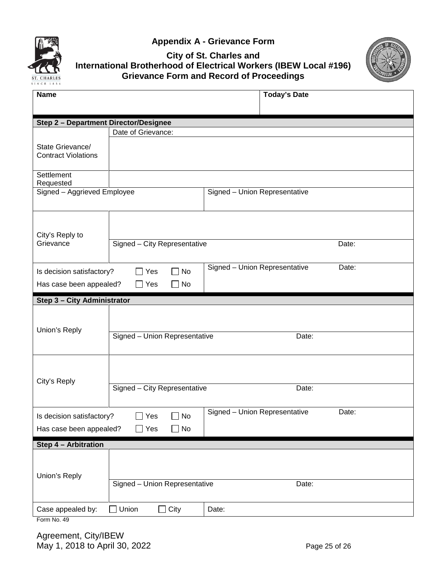



# **City of St. Charles and International Brotherhood of Electrical Workers (IBEW Local #196) Grievance Form and Record of Proceedings**



| <b>Name</b>                                                                                                                            |                               |                               | <b>Today's Date</b> |       |  |
|----------------------------------------------------------------------------------------------------------------------------------------|-------------------------------|-------------------------------|---------------------|-------|--|
|                                                                                                                                        |                               |                               |                     |       |  |
| <b>Step 2 - Department Director/Designee</b>                                                                                           |                               |                               |                     |       |  |
|                                                                                                                                        | Date of Grievance:            |                               |                     |       |  |
| State Grievance/<br><b>Contract Violations</b>                                                                                         |                               |                               |                     |       |  |
| Settlement                                                                                                                             |                               |                               |                     |       |  |
| Requested                                                                                                                              |                               |                               |                     |       |  |
| Signed - Aggrieved Employee                                                                                                            |                               | Signed - Union Representative |                     |       |  |
| City's Reply to                                                                                                                        |                               |                               |                     |       |  |
| Grievance                                                                                                                              | Signed - City Representative  |                               |                     | Date: |  |
| Signed - Union Representative<br>Date:<br>Is decision satisfactory?<br>$\Box$ Yes<br>No<br>Has case been appealed?<br>$\Box$ Yes<br>No |                               |                               |                     |       |  |
| Step 3 - City Administrator                                                                                                            |                               |                               |                     |       |  |
| Union's Reply                                                                                                                          | Signed - Union Representative |                               | Date:               |       |  |
| City's Reply                                                                                                                           |                               |                               |                     |       |  |
|                                                                                                                                        | Signed - City Representative  |                               | Date:               |       |  |
| Is decision satisfactory?<br>Has case been appealed?                                                                                   | Yes<br>No<br>Yes<br>No        | Signed - Union Representative |                     | Date: |  |
| Step 4 - Arbitration                                                                                                                   |                               |                               |                     |       |  |
| Union's Reply                                                                                                                          |                               |                               |                     |       |  |
|                                                                                                                                        | Signed - Union Representative |                               | Date:               |       |  |
| Case appealed by:                                                                                                                      | Union<br>City                 | Date:                         |                     |       |  |

Form No. 49